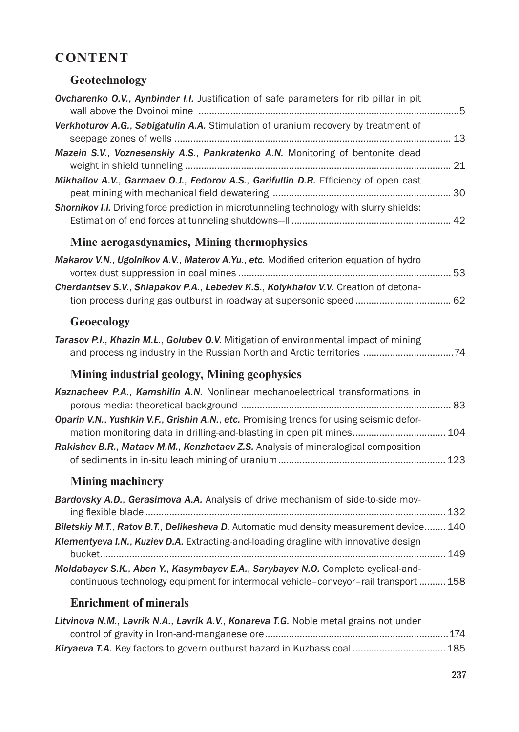## **CONTENT**

## **Geotechnology**

| Ovcharenko O.V., Aynbinder I.I. Justification of safe parameters for rib pillar in pit                                                                                                                                                                              |  |
|---------------------------------------------------------------------------------------------------------------------------------------------------------------------------------------------------------------------------------------------------------------------|--|
| Verkhoturov A.G., Sabigatulin A.A. Stimulation of uranium recovery by treatment of                                                                                                                                                                                  |  |
| Mazein S.V., Voznesenskiy A.S., Pankratenko A.N. Monitoring of bentonite dead                                                                                                                                                                                       |  |
| Mikhailov A.V., Garmaev O.J., Fedorov A.S., Garifullin D.R. Efficiency of open cast                                                                                                                                                                                 |  |
| Shornikov I.I. Driving force prediction in microtunneling technology with slurry shields:                                                                                                                                                                           |  |
| Mine aerogasdynamics, Mining thermophysics                                                                                                                                                                                                                          |  |
| Makarov V.N., Ugolnikov A.V., Materov A.Yu., etc. Modified criterion equation of hydro                                                                                                                                                                              |  |
| Cherdantsev S.V., Shlapakov P.A., Lebedev K.S., Kolykhalov V.V. Creation of detona-                                                                                                                                                                                 |  |
| Geoecology                                                                                                                                                                                                                                                          |  |
| Tarasov P.I., Khazin M.L., Golubev O.V. Mitigation of environmental impact of mining<br>and processing industry in the Russian North and Arctic territories  74                                                                                                     |  |
| Mining industrial geology, Mining geophysics                                                                                                                                                                                                                        |  |
| Kaznacheev P.A., Kamshilin A.N. Nonlinear mechanoelectrical transformations in                                                                                                                                                                                      |  |
| Oparin V.N., Yushkin V.F., Grishin A.N., etc. Promising trends for using seismic defor-<br>mation monitoring data in drilling-and-blasting in open pit mines 104                                                                                                    |  |
| Rakishev B.R., Mataev M.M., Kenzhetaev Z.S. Analysis of mineralogical composition                                                                                                                                                                                   |  |
| <b>Mining machinery</b>                                                                                                                                                                                                                                             |  |
| Bardovsky A.D., Gerasimova A.A. Analysis of drive mechanism of side-to-side mov-<br>Biletskiy M.T., Ratov B.T., Delikesheva D. Automatic mud density measurement device 140<br>Klementyeva I.N., Kuziev D.A. Extracting-and-loading dragline with innovative design |  |
| Moldabayev S.K., Aben Y., Kasymbayev E.A., Sarybayev N.O. Complete cyclical-and-<br>continuous technology equipment for intermodal vehicle-conveyor-rail transport  158                                                                                             |  |
| <b>Enrichment of minerals</b>                                                                                                                                                                                                                                       |  |
| Litvinova N.M., Lavrik N.A., Lavrik A.V., Konareva T.G. Noble metal grains not under                                                                                                                                                                                |  |
| Kiryaeva T.A. Key factors to govern outburst hazard in Kuzbass coal  185                                                                                                                                                                                            |  |